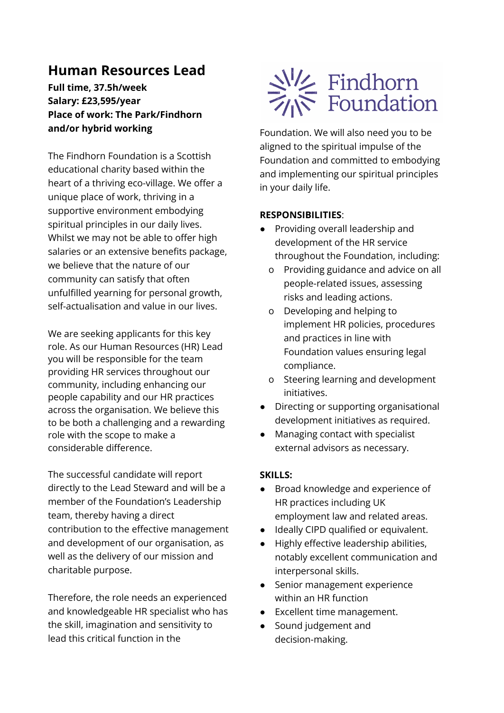## **Human Resources Lead**

**Full time, 37.5h/week Salary: £23,595/year Place of work: The Park/Findhorn and/or hybrid working**

The Findhorn Foundation is a Scottish educational charity based within the heart of a thriving eco-village. We offer a unique place of work, thriving in a supportive environment embodying spiritual principles in our daily lives. Whilst we may not be able to offer high salaries or an extensive benefits package, we believe that the nature of our community can satisfy that often unfulfilled yearning for personal growth, self-actualisation and value in our lives.

We are seeking applicants for this key role. As our Human Resources (HR) Lead you will be responsible for the team providing HR services throughout our community, including enhancing our people capability and our HR practices across the organisation. We believe this to be both a challenging and a rewarding role with the scope to make a considerable difference.

The successful candidate will report directly to the Lead Steward and will be a member of the Foundation's Leadership team, thereby having a direct contribution to the effective management and development of our organisation, as well as the delivery of our mission and charitable purpose.

Therefore, the role needs an experienced and knowledgeable HR specialist who has the skill, imagination and sensitivity to lead this critical function in the



Foundation. We will also need you to be aligned to the spiritual impulse of the Foundation and committed to embodying and implementing our spiritual principles in your daily life.

## **RESPONSIBILITIES**:

- Providing overall leadership and development of the HR service throughout the Foundation, including:
	- o Providing guidance and advice on all people-related issues, assessing risks and leading actions.
	- o Developing and helping to implement HR policies, procedures and practices in line with Foundation values ensuring legal compliance.
	- o Steering learning and development initiatives.
- Directing or supporting organisational development initiatives as required.
- Managing contact with specialist external advisors as necessary.

## **SKILLS:**

- Broad knowledge and experience of HR practices including UK employment law and related areas.
- Ideally CIPD qualified or equivalent.
- Highly effective leadership abilities, notably excellent communication and interpersonal skills.
- Senior management experience within an HR function
- Excellent time management.
- Sound judgement and decision-making.